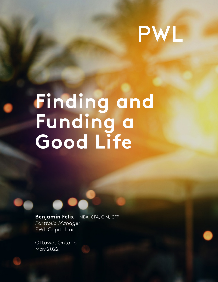# PWL

# **Finding and Funding a Good Life**

**Benjamin Felix** MBA, CFA, CIM, CFP *Portfolio Manager* PWL Capital Inc.

 $T_A$  Capital Inc. for  $\tilde{P}_A$  in this document is based information on which this document is based is based is based in this document is based in this document is based in this document is based in this document is bas available on request. Particular investments or trading strategies should be evaluated relative to each individual's objectives, in May 2022Ottawa, Ontario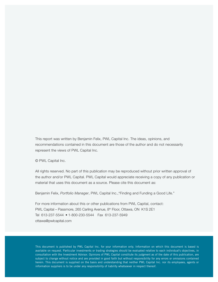This report was written by Benjamin Felix, PWL Capital Inc. The ideas, opinions, and recommendations contained in this document are those of the author and do not necessarily represent the views of PWL Capital Inc.

© PWL Capital Inc.

All rights reserved. No part of this publication may be reproduced without prior written approval of the author and/or PWL Capital. PWL Capital would appreciate receiving a copy of any publication or material that uses this document as a source. Please cite this document as:

Benjamin Felix, *Portfolio Manager*, PWL Capital Inc.,"Finding and Funding a Good Life."

For more information about this or other publications from PWL Capital, contact: PWL Capital – Passmore, 265 Carling Avenue, 8<sup>th</sup> Floor, Ottawa, ON K1S 2E1 Tel 613-237-5544 • 1-800-230-5544 Fax 613-237-5949 ottawa@pwlcapital.com

This document is published by PWL Capital Inc. for your information only. Information on which this document is based is available on request. Particular investments or trading strategies should be evaluated relative to each individual's objectives, in consultation with the Investment Advisor. Opinions of PWL Capital constitute its judgment as of the date of this publication, are subject to change without notice and are provided in good faith but without responsibility for any errors or omissions contained herein. This document is supplied on the basis and understanding that neither PWL Capital Inc. nor its employees, agents or information suppliers is to be under any responsibility of liability whatsoever in respect thereof.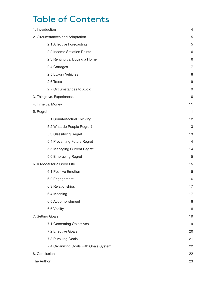# Table of Contents

| 1. Introduction                        | 4  |
|----------------------------------------|----|
| 2. Circumstances and Adaptation        | 5  |
| 2.1 Affective Forecasting              | 5  |
| 2.2 Income Satiation Points            | 6  |
| 2.3 Renting vs. Buying a Home          | 6  |
| 2.4 Cottages                           | 7  |
| 2.5 Luxury Vehicles                    | 8  |
| 2.6 Trees                              | 9  |
| 2.7 Circumstances to Avoid             | 9  |
| 3. Things vs. Experiences              | 10 |
| 4. Time vs. Money                      | 11 |
| 5. Regret                              | 11 |
| 5.1 Counterfactual Thinking            | 12 |
| 5.2 What do People Regret?             | 13 |
| 5.3 Classifying Regret                 | 13 |
| 5.4 Preventing Future Regret           | 14 |
| 5.5 Managing Current Regret            | 14 |
| 5.6 Embracing Regret                   | 15 |
| 6. A Model for a Good Life             | 15 |
| 6.1 Positive Emotion                   | 15 |
| 6.2 Engagement                         | 16 |
| 6.3 Relationships                      | 17 |
| 6.4 Meaning                            | 17 |
| 6.5 Accomplishment                     | 18 |
| 6.6 Vitality                           | 18 |
| 7. Setting Goals                       | 19 |
| 7.1 Generating Objectives              | 19 |
| 7.2 Effective Goals                    | 20 |
| 7.3 Pursuing Goals                     | 21 |
| 7.4 Organizing Goals with Goals System | 22 |
| 8. Conclusion                          | 22 |
| The Author                             | 23 |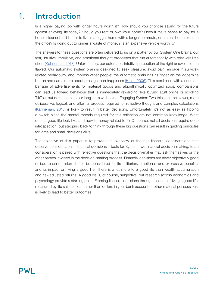# Introduction 1.

Is a higher paying job with longer hours worth it? How should you prioritize saving for the future against enjoying life today? Should you rent or own your home? Does it make sense to pay for a house cleaner? Is it better to live in a bigger home with a longer commute, or a small home close to the office? Is going out to dinner a waste of money? Is an expensive vehicle worth it?

The answers to these questions are often delivered to us on a platter by our System One brains; our fast, intuitive, impulsive, and emotional thought processes that run automatically with relatively little effort [\(Kahneman, 2013\).](https://www.penguinrandomhouse.ca/books/89308/thinking-fast-and-slow-by-daniel-kahneman/9780385676533) Unfortunately, our automatic, intuitive perception of the right answer is often flawed. Our automatic system brain is designed to seek pleasure, avoid pain, engage in survivalrelated behaviours, and impress other people; the automatic brain has its finger on the dopamine button and cares more about prestige than happiness [\(Haidt, 2006\)](https://www.happinesshypothesis.com/). This combined with a constant barrage of advertisements for material goods and algorithmically optimized social comparisons can lead us toward behaviour that is immediately rewarding, like buying stuff online or scrolling TikTok, but detrimental to our long-term well-being. Engaging System Two thinking, the slower, more deliberative, logical, and effortful process required for reflective thought and complex calculations [\(Kahneman, 2013\)](https://www.penguinrandomhouse.ca/books/89308/thinking-fast-and-slow-by-daniel-kahneman/9780385676533) is likely to result in better decisions. Unfortunately, it's not as easy as flipping a switch since the mental models required for this reflection are not common knowledge. What does a good life look like, and how is money related to it? Of course, not all decisions require deep introspection, but stepping back to think through these big questions can result in guiding principles for large and small decisions alike.

The objective of this paper is to provide an overview of the non-financial considerations that deserve consideration in financial decisions – tools for System Two financial decision-making. Each consideration is paired with reflective questions that the decision-maker may ask themselves or the other parties involved in the decision-making process. Financial decisions are never objectively good or bad; each decision should be considered for its utilitarian, emotional, and expressive benefits, and its impact on living a good life. There is a lot more to a good life than wealth accumulation and risk-adjusted returns. A good life is, of course, subjective, but research across economics and psychology provide a starting point. Framing financial decisions through the lens of living a good life, measured by life satisfaction, rather than dollars in your bank account or other material possessions, is likely to lead to better outcomes.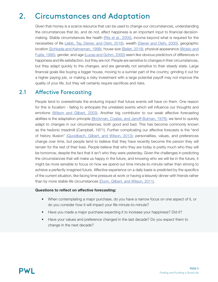# Circumstances and Adaptation 2.

Given that money is a scarce resource that can be used to change our circumstances, understanding the circumstances that do, and do not, affect happiness is an important input to financial decision-making. Stable circumstances like health [\(Riis et al., 2005\)](https://pubmed.ncbi.nlm.nih.gov/15702959/), income beyond what is required for the necessities of life [\(Jebb, Tay, Diener, and Oishi, 2018\),](https://www.nature.com/articles/s41562-017-0277-0) wealth [\(Diener and Oishi, 2000\),](https://psycnet.apa.org/record/2000-16279-007) geographic location [\(Schkade and Kahneman, 1998\)](https://web.mit.edu/curhan/www/docs/Articles/biases/9_Psychological_Science_340_(Schkade).pdf), house size [\(Bellet, 2019\)](https://papers.ssrn.com/sol3/papers.cfm?abstract_id=3378131), physical appearance [\(Wolsic and](https://doi.apa.org/doiLanding?doi=10.1037%2F0022-3514.69.1.120) [Fujita, 1995\)](https://doi.apa.org/doiLanding?doi=10.1037%2F0022-3514.69.1.120), gender, and age [\(Lucas and Gohm, 2000\)](http://citeseerx.ist.psu.edu/viewdoc/download?doi=10.1.1.208.2565&rep=rep1&type=pdf#:~:text=Women%20experience%20even%20more%20unpleasant,the%20differences%20found%20across%20studies.) seem like obvious predictors of differences in happiness and life satisfaction, but they are not. People are sensitive to changes in their circumstances, but they adapt quickly to the changes, and are generally not sensitive to their steady state. Large financial goals like buying a bigger house, moving to a sunnier part of the country, grinding it out for a higher paying job, or making a risky investment with a large potential payoff may not improve the quality of your life, but they will certainly require sacrifices and risks.

# 2.1 Affective Forecasting

People tend to overestimate the enduring impact that future events will have on them. One reason for this is focalism - failing to anticipate the unrelated events which will influence our thoughts and emotions [\(Wilson and Gilbert, 2003\).](http://wjh-www.harvard.edu/~dtg/Wilson & Gilbert %28Advances%29.pdf) Another big contributor to our weak affective forecasting abilities is the adaptation principle [\(Brickman, Coates, and Janoff-Bulman, 1978\)](https://pubmed.ncbi.nlm.nih.gov/690806/); we tend to quickly adapt to changes in our circumstances, both good and bad. This has become commonly known as the hedonic treadmill (Campbell, 1971). Further complicating our affective forecasts is the "end of history illusion" [\(Quoidbach, Gilbert, and Wilson, 2013\);](https://wjh-www.harvard.edu/~dtg/Quoidbach et al 2013.pdf) personalities, values, and preferences change over time, but people tend to believe that they have recently become the person they will remain for the rest of their lives. People believe that who they are today is pretty much who they will be tomorrow, despite the fact that it isn't who they were yesterday. Given the challenges in predicting the circumstances that will make us happy in the future, and knowing who we will be in the future, it might be more sensible to focus on how we spend our time minute-to-minute rather than striving to achieve a perfectly imagined future. Affective experience on a daily basis is predicted by the specifics of the current situation, like facing time pressure at work or having a leisurely dinner with friends rather than by more stable life circumstances [\(Dunn, Gilbert, and Wilson, 2011\)](https://scholar.harvard.edu/files/danielgilbert/files/if-money-doesnt-make-you-happy.nov-12-20101.pdf).

# Questions to reflect on affective forecasting:

- When contemplating a major purchase, do you have a narrow focus on one aspect of it, or do you consider how it will impact your life minute-to-minute?
- Have you made a major purchase expecting it to increase your happiness? Did it?
- Have your values and preference changed in the last decade? Do you expect them to change in the next decade?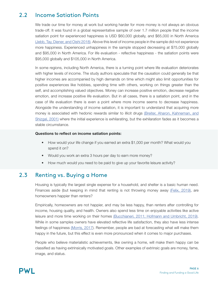### Income Satiation Points 2.2

We trade our time for money at work but working harder for more money is not always an obvious trade-off. It was found in a global representative sample of over 1.7 million people that the income satiation point for experienced happiness is USD \$60,000 globally, and \$65,000 in North America [\(Jebb, Tay, Diener, and Oishi 2018\)](https://www.nature.com/articles/s41562-017-0277-0). Above this level of income people in the sample did not experience more happiness. Experienced unhappiness in the sample stopped decreasing at \$75,000 globally and \$95,000 in North America. For life evaluation - reflective happiness - the satiation points were \$95,000 globally and \$105,000 in North America.

In some regions, including North America, there is a turning point where life evaluation deteriorates with higher levels of income. The study authors speculate that the causation could generally be that higher incomes are accompanied by high demands on time which might also limit opportunities for positive experiences like hobbies, spending time with others, working on things greater than the self, and accomplishing valued objectives. Money can increase positive emotion, decrease negative emotion, and increase positive life evaluation. But in all cases, there is a satiation point, and in the case of life evaluation there is even a point where more income seems to decrease happiness. Alongside the understanding of income satiation, it is important to understand that acquiring more money is associated with hedonic rewards similar to illicit drugs [\(Breiter, Aharon, Kahneman, and](https://pubmed.ncbi.nlm.nih.gov/11395019/) [Shizgal, 2001\)](https://pubmed.ncbi.nlm.nih.gov/11395019/) where the initial experience is exhilarating, but the exhilaration fades as it becomes a stable circumstance.

# Questions to reflect on income satiation points:

- How would your life change if you earned an extra \$1,000 per month? What would you spend it on?
- Would you work an extra 3 hours per day to earn more money?
- How much would you need to be paid to give up your favorite leisure activity?

### Renting vs. Buying a Home 2.3

Housing is typically the largest single expense for a household, and shelter is a basic human need. Finances aside (but keeping in mind that renting is not throwing money away [\(Felix, 2019\),](https://www.pwlcapital.com/rent-or-own-your-home-5-rule/) are homeowners happier than renters?

Empirically, homeowners are not happier, and may be less happy, than renters after controlling for income, housing quality, and health. Owners also spend less time on enjoyable activities like active leisure and more time working on their homes [\(Bucchianeri, 2011; Hofmann and Umbricht, 2019\)](https://papers.ssrn.com/sol3/papers.cfm?abstract_id=1877163). While in some samples owners have elevated reflective life satisfaction, they also have less intense feelings of happiness [\(Morris, 2017](https://www.tandfonline.com/doi/abs/10.1080/10511482.2017.1367317?journalCode=rhpd20)). Remember, people are bad at forecasting what will make them happy in the future, but this effect is even more pronounced when it comes to major purchases.

People who believe materialistic achievements, like owning a home, will make them happy can be classified as having extrinsically motivated goals. Other examples of extrinsic goals are money, fame, image, and status.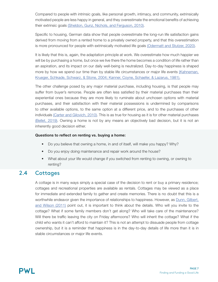Compared to people with intrinsic goals, like personal growth, intimacy, and community, extrinsically motivated people are less happy in general, and they overestimate the emotional benefits of achieving their extrinsic goals [\(Sheldon, Gunz, Nichols, and Ferguson, 2010\).](https://sdtheory.s3.amazonaws.com/SDT/documents/2010_SheldonGunzNicholsFerguson_JOP.pdf)

Specific to housing, German data show that people overestimate the long-run life satisfaction gains derived from moving from a rented home to a privately owned property, and that this overestimation is more pronounced for people with extrinsically motivated life goals [\(Odermatt and Stutzer, 2020\)](https://papers.ssrn.com/sol3/papers.cfm?abstract_id=3660256).

It is likely that this is, again, the adaptation principle at work. We overestimate how much happier we will be by purchasing a home, but once we live there the home becomes a condition of life rather than an aspiration, and its impact on our daily well-being is neutralized. Day-to-day happiness is shaped more by how we spend our time than by stable life circumstances or major life events [\(Kahneman,](https://webs.wofford.edu/boppkl/coursefiles/psy150/labs/SocialLab/Kanner81_Hassles and Uplifts.pdf) [Krueger, Schkade, Schwarz, & Stone, 2004; Kanner, Coyne, Schaefer, & Lazarus, 1981\).](https://webs.wofford.edu/boppkl/coursefiles/psy150/labs/SocialLab/Kanner81_Hassles and Uplifts.pdf)

The other challenge posed by any major material purchase, including housing, is that people may suffer from buyer's remorse. People are often less satisfied by their material purchases than their experiential ones because they are more likely to ruminate about unchosen options with material purchases, and their satisfaction with their material possessions is undermined by comparisons to other available options, to the same option at a different price, and to the purchases of other individuals [\(Carter and Gilovich, 2010\)](https://pubmed.ncbi.nlm.nih.gov/20053039/). This is as true for housing as it is for other material purchases [\(Bellet, 2019\).](https://papers.ssrn.com/sol3/papers.cfm?abstract_id=3378131) Owning a home is not by any means an objectively bad decision, but it is not an inherently good decision either.

# Questions to reflect on renting vs. buying a home:

- Do you believe that owning a home, in and of itself, will make you happy? Why?
- Do you enjoy doing maintenance and repair work around the house?
- What about your life would change if you switched from renting to owning, or owning to renting?

### **Cottages** 2.4

A cottage is in many ways simply a special case of the decision to rent or buy a primary residence; cottages and recreational properties are available as rentals. Cottages may be viewed as a place for immediate and extended family to gather and create memories. There is no doubt that this is a worthwhile endeavor given the importance of relationships to happiness. However, as **Dunn**, Gilbert, [and Wilson \(2011\)](https://scholar.harvard.edu/files/danielgilbert/files/if-money-doesnt-make-you-happy.nov-12-20101.pdf) point out, it is important to think about the details. Who will you invite to the cottage? What if some family members don't get along? Who will take care of the maintenance? Will there be traffic leaving the city on Friday afternoons? Who will inherit the cottage? What if the child who wants it can't afford to maintain it? This is not an attempt to dissuade people from cottage ownership, but it is a reminder that happiness is in the day-to-day details of life more than it is in stable circumstances or major life events.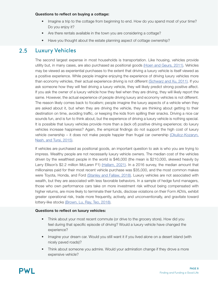# Questions to reflect on buying a cottage:

- Imagine a trip to the cottage from beginning to end. How do you spend most of your time? Do you enjoy it?
- Are there rentals available in the town you are considering a cottage?
- Have you thought about the estate planning aspect of cottage ownership?

# 2.5 Luxury Vehicles

The second largest expense in most households is transportation. Like housing, vehicles provide utility but, in many cases, are also purchased as positional goods [\(Hoen and Geurs, 2011\).](https://www.utwente.nl/en/et/ce/research/tem/pdf/2011_Hoen_Geurs_The_influence_of_positionality.pdf) Vehicles may be viewed as experiential purchases to the extent that driving a luxury vehicle is itself viewed as a positive experience. While people imagine enjoying the experience of driving luxury vehicles more than economy vehicles, their actual experience driving is not different [\(Schwarz and Xu, 2011\)](https://dornsife.usc.edu/assets/sites/780/docs/11_jcp_schwarz___xu_why_we_don_t_learn__fin_.pdf). If you ask someone how they will feel driving a luxury vehicle, they will likely predict strong positive affect. If you ask the owner of a luxury vehicle how they feel when they are driving, they will likely report the same. However, the actual experience of people driving luxury and economy vehicles is not different. The reason likely comes back to focalism; people imagine the luxury aspects of a vehicle when they are asked about it, but when they are driving the vehicle, they are thinking about getting to their destination on time, avoiding traffic, or keeping the kids from spilling their snacks. Driving a nice car sounds fun, and is fun to think about, but the experience of driving a luxury vehicle is nothing special. It is possible that luxury vehicles provide more than a (lack of) positive driving experience; do luxury vehicles increase happiness? Again, the empirical findings do not support the high cost of luxury vehicle ownership – it does not make people happier than frugal car ownership [\(Okulicz-Kozaryn,](https://link.springer.com/article/10.1007/s12232-015-0223-2) [Nash, and Tursi, 2015\)](https://link.springer.com/article/10.1007/s12232-015-0223-2).

If vehicles are purchased as positional goods, an important question to ask is who you are trying to impress. Wealthy people are not necessarily luxury vehicle owners. The median cost of the vehicles driven by the wealthiest people in the world is \$46,000 (the mean is \$210,000, skewed heavily by Larry Ellison's \$2.2 million McLaren F1) [\(Hallam, 2021\)](https://andrewhallam.com/balance/). In a 2016 survey, the median amount that millionaires paid for their most recent vehicle purchase was \$35,000, and the most common makes were Toyota, Honda, and Ford [\(Stanley and Fallaw, 2018\).](https://rowman.com/ISBN/9781493052752/The-Next-Millionaire-Next-Door-Enduring-Strategies-for-Building-Wealth) Luxury vehicles are not associated with wealth, but they are associated with less favorable behaviors. In a sample of hedge fund managers, those who own performance cars take on more investment risk without being compensated with higher returns, are more likely to terminate their funds, disclose violations on their Form ADVs, exhibit greater operational risk, trade more frequently, actively, and unconventionally, and gravitate toward lottery-like stocks [\(Brown, Lu, Ray, Teo, 2018\)](https://onlinelibrary.wiley.com/doi/abs/10.1111/jofi.12723).

# Questions to reflect on luxury vehicles:

- Think about your most recent commute (or drive to the grocery store). How did you feel during that specific episode of driving? Would a luxury vehicle have changed the experience?
- Imagine your dream car. Would you still want it if you lived alone on a desert island (with nicely paved roads)?
- Think about someone you admire. Would your admiration change if they drove a more expensive vehicle?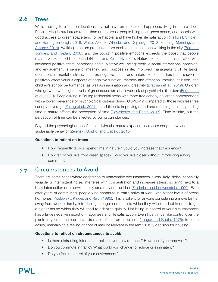### Trees 2.6

While moving to a sunnier location may not have an impact on happiness, living in nature does. People living in rural areas rather than urban areas, people living near green space, and people with good access to green space tend to be happier and have higher life satisfaction [\(Helliwell, Shiplett,](https://www.nber.org/papers/w24592) [and Barrington-Leigh, 2018; White, Alcock, Wheeler, and Depledge, 2013; Fleming, Manning, and](https://www.nber.org/papers/w24592)  [Ambrey, 2016\).](https://www.nber.org/papers/w24592) Walking in nature produces more positive emotions than walking in the city [\(Berman,](https://journals.sagepub.com/doi/10.1111/j.1467-9280.2008.02225.x) [Jonides, and Kaplan, 2008\),](https://journals.sagepub.com/doi/10.1111/j.1467-9280.2008.02225.x) and the boost in positive emotions exceeds the boost that people may have expected beforehand [\(Nisbet and Zelenski, 2011\).](https://journals.sagepub.com/doi/abs/10.1177/0956797611418527) Nature experience is associated with increased positive affect; happiness and subjective well-being; positive social interactions, cohesion, and engagement; a sense of meaning and purpose in life; improved manageability of life tasks; decreases in mental distress, such as negative affect; and nature experience has been shown to positively affect various aspects of cognitive function, memory and attention, impulse inhibition, and children's school performance, as well as imagination and creativity [\(Bratman et al., 2019\).](https://journals.sagepub.com/doi/abs/10.1177/0956797611418527) Children who grow up with higher levels of greenspace are at a lower risk of psychiatric disorders [\(Engemann](https://www.pnas.org/content/116/11/5188) [et al., 2019\).](https://www.pnas.org/content/116/11/5188) People living in Beijing residential areas with more tree canopy coverage corresponded with a lower prevalence of psychological distress during COVID-19 compared to those with less tree canopy coverage [\(Zhang et al., 2021\)](https://www.ncbi.nlm.nih.gov/pmc/articles/PMC8603199/). In addition to improving mood and reducing stress, spending time in nature affects the perception of time [\(Davydenko and Peetz, 2017\).](https://psycnet.apa.org/record/2017-55253-005) Time is finite, but the perception of time can be affected by our circumstances.

Beyond the psychological benefits to individuals, nature exposure increases cooperative and sustainable behavior [\(Zelenski, Dopko, and Capaldi, 2015\)](https://www.sciencedirect.com/science/article/pii/S0272494415000195?via%3Dihub).

# Questions to reflect on trees:

- How frequently do you spend time in nature? Could you increase that frequency?
- How far do you live from green space? Could you live closer without introducing a long commute?

### Circumstances to Avoid 2.7

There are some cases where adaptation to unfavorable circumstances is less likely. Noise, especially variable or intermittent noise, interferes with concentration and increases stress, so living next to a busy intersection or otherwise noisy area may not be ideal [\(Frederick and Loewenstein, 1999\)](https://psycnet.apa.org/record/1999-02842-016). Even after years of commuting, people who commute in traffic arrive at work with higher levels of stress hormones [\(Koslowsky, Kluger, and Reich 1995\).](https://psycnet.apa.org/record/1995-98731-000) This is salient for anyone considering a move further away from work or family, introducing a longer commute to which they will not adapt in order to get a bigger house which they will tend to adapt to quickly. Not being in control of your circumstances has a large negative impact on happiness and life satisfaction. Even little things, like control over the plants in your home, can have dramatic effects on happiness [\(Langer and Rodin, 1976\);](https://pubmed.ncbi.nlm.nih.gov/1011073/) in some cases, maintaining a feeling of control may be relevant in the rent vs. buy decision for housing.

# Questions to reflect on circumstances to avoid:

- Is there distracting intermittent noise in your environment? How could you remove it?
- Do you commute in traffic? What could you change to reduce or eliminate it?
- Do you feel in control of your environment?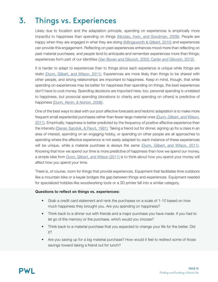# Things vs. Experiences 3.

Likely due to focalism and the adaptation principle, spending on experiences is empirically more impactful to happiness than spending on things [\(Nicolao, Irwin, and Goodman, 2009\)](https://psycnet.apa.org/record/2009-10843-004). People are happy when they are engaged in what they are doing [\(Killingsworth & Gilbert, 2010\)](https://wjh-www.harvard.edu/~dtg/KILLINGSWORTH & GILBERT (2010).pdf) and experiences can provide this engagement. Reflecting on past experiences enhances mood more than reflecting on past material purchases, and people tend to anticipate and remember experiences more than things; experiences form part of our identities [\(Van Boven and Gilovich, 2003; Carter and Gilovich, 2012\).](https://psycnet.apa.org/record/2003-10055-017)

It is harder to adapt to experiences than to things since each experience is unique while things are static [\(Dunn, Gilbert, and Wilson, 2011\)](https://scholar.harvard.edu/files/danielgilbert/files/if-money-doesnt-make-you-happy.nov-12-20101.pdf). Experiences are more likely than things to be shared with other people, and strong relationships are important to happiness. Keep in mind, though, that while spending on experiences may be better for happiness than spending on things, the best experiences don't have to cost money. Spending decisions are important here, too: personal spending is unrelated to happiness, but prosocial spending (donations to charity and spending on others) is predictive of happiness [\(Dunn, Aknin, & Norton, 2008\).](https://pubmed.ncbi.nlm.nih.gov/18356530/)

One of the best ways to deal with our poor affective forecasts and hedonic adaptation is to make more frequent small experiential purchases rather than fewer large material ones (Dunn, Gilbert, and Wilson, [2011\)](https://scholar.harvard.edu/files/danielgilbert/files/if-money-doesnt-make-you-happy.nov-12-20101.pdf). Empirically, happiness is better predicted by the frequency of positive affective experience than the intensity [\(Diener, Sandvik, & Pavot, 1991\)](https://psycnet.apa.org/record/1991-97398-006). Taking a friend out for dinner, signing up for a class in an area of interest, spending on an engaging hobby, or spending on other people are all approaches to spending where the affective experience is not easily adapted to; each instance of these experiences will be unique, while a material purchase is always the same [\(Dunn, Gilbert, and Wilson, 2011\).](https://scholar.harvard.edu/files/danielgilbert/files/if-money-doesnt-make-you-happy.nov-12-20101.pdf) Knowing that how we spend our time is more predictive of happiness than how we spend our money, a simple idea from [Dunn, Gilbert, and Wilson \(2011\)](https://scholar.harvard.edu/files/danielgilbert/files/if-money-doesnt-make-you-happy.nov-12-20101.pdf) is to think about how you spend your money will affect how you spend your time.

There is, of course, room for things that provide experiences. Equipment that facilitates time outdoors like a mountain bike or a kayak bridges the gap between things and experiences. Equipment needed for specialized hobbies like woodworking tools or a 3D printer fall into a similar category.

# Questions to reflect on things vs. experiences:

- Grab a credit card statement and rank the purchases on a scale of 1-10 based on how much happiness they brought you. Are you spending on happiness?
- Think back to a dinner out with friends and a major purchase you have made. If you had to let go of the memory or the purchase, which would you choose?
- Think back to a material purchase that you expected to change your life for the better. Did it?
- Are you saving up for a big material purchase? How would it feel to redirect some of those savings toward taking a friend out for lunch?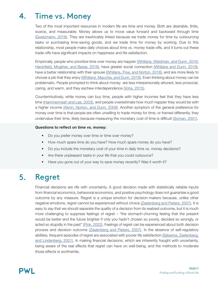# Time vs. Money 4.

Two of the most important resources in modern life are time and money. Both are desirable, finite, scarce, and measurable. Money allows us to move value forward and backward through time [\(Goetzmann, 2016\)](https://press.princeton.edu/books/hardcover/9780691143781/money-changes-everything). They are inextricably linked because we trade money for time by outsourcing tasks or purchasing time-saving goods, and we trade time for money by working. Due to this relationship, most people make daily choices about time vs. money trade-offs, and it turns out these trade-offs have significant impacts on happiness and life satisfaction.

Empirically, people who prioritize time over money are happier [\(Whillans, Weidman, and Dunn, 2016;](https://ubc-emotionlab.ca/wp-content/uploads/2011/12/Whillans-Weidman-Dunn-2016-Valuing-Time-Over-Money-Increases-Happiness.pdf) [Hershfield, Mogilner, and Barea, 2016\)](https://ubc-emotionlab.ca/wp-content/uploads/2011/12/Whillans-Weidman-Dunn-2016-Valuing-Time-Over-Money-Increases-Happiness.pdf), have greater social connection [\(Whillans and Dunn, 2019\)](https://www.hbs.edu/faculty/Pages/item.aspx?num=54685), have a better relationship with their spouse [\(Whillans, Pow, and Norton, 2018\),](https://www.hbs.edu/ris/Publication Files/18-072_b1d8cdda-fbb1-46ae-afd7-6742d2195f25.pdf) and are more likely to choose a job that they enjoy [\(Whillans, Macchia, and Dunn, 2019\).](https://www.hbs.edu/ris/Publication Files/Whillans Valuing time over money predicts happiness_db4dd302-560c-4d08-ad7c-263c90c9692e.pdf) Even thinking about money can be problematic. People prompted to think about money are less interpersonally attuned, less prosocial, caring, and warm, and they eschew interdependence [\(Vohs, 2015\)](https://carlsonschool.umn.edu/sites/carlsonschool.umn.edu/files/2019-04/vohs_2015_money_priming_review_replications_jepg.pdf).

Counterintuitively, while money can buy time, people with higher incomes feel that they have less time [\(Hammermesh and Lee, 2003\)](https://www.nber.org/papers/w10186), and people overestimate how much happier they would be with a higher income [\(Aknin, Norton, and Dunn, 2009\).](https://www.hbs.edu/faculty/Pages/item.aspx?num=37057) Another symptom of the general preference for money over time is that people are often unwilling to trade money for time, or framed differently, they undervalue their time, likely because measuring the monetary cost of time is difficult [\(Soman, 2001\).](https://psycnet.apa.org/record/2001-01969-001)

# Questions to reflect on time vs. money:

- Do you prefer money over time or time over money?
- How much spare time do you have? How much spare money do you have?
- Do you include the monetary cost of your time in daily time vs. money decisions?
- Are there unpleasant tasks in your life that you could outsource?
- Have you gone out of your way to save money recently? Was it worth it?

## Regret 5.

Financial decisions are rife with uncertainty. A good decision made with statistically reliable inputs from financial economics, behavioral economics, and positive psychology does not guarantee a good outcome by any measure. Regret is a unique emotion for decision-makers because, unlike other negative emotions, regret cannot be experienced without choice [\(Zeelenberg and Pieters, 2007\).](https://www.tilburguniversity.edu/sites/tiu/files/download/zeelenbergpieters_2.pdf) It is easy to say that we should separate the quality of a decision from its realized outcome, but it is much more challenging to suppress feelings of regret – "the stomach-churning feeling that the present would be better and the future brighter if only you hadn't chosen so poorly, decided so wrongly, or acted so stupidly in the past" [\(Pink, 2022\).](https://www.danpink.com/the-power-of-regret/) Feelings of regret can be experienced about both decision process and decision outcome [\(Zeelenberg and Pieters, 2007\).](https://www.tilburguniversity.edu/sites/tiu/files/download/zeelenbergpieters_2.pdf) In the absence of self-regulatory abilities, frequent episodes of regret are associated with poorer life satisfaction [\(Sijtsema, Zeelenberg,](https://pure.rug.nl/ws/portalfiles/portal/193914902/Sijtsema2021_Article_RegretSelf_regulatoryAbilities.pdf)  [and Lindenberg, 2021\)](https://pure.rug.nl/ws/portalfiles/portal/193914902/Sijtsema2021_Article_RegretSelf_regulatoryAbilities.pdf). In making financial decisions, which are inherently fraught with uncertainty, being aware of the real effects that regret can have on well-being, and the methods to moderate those effects is worthwhile.

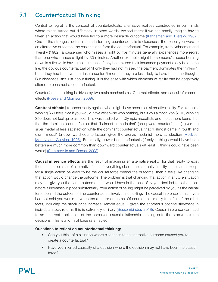### Counterfactual Thinking 5.1

Central to regret is the concept of counterfactuals; alternative realities constructed in our minds where things turned out differently. In other words, we feel regret if we can readily imagine having taken an action that would have led to a more desirable outcome [\(Kahneman and Tversky, 1982\)](https://www.kellogg.northwestern.edu/faculty/uzzi/ftp/restricted/Psychology of Preferences.pdf). One of the strongest determinants in forming counterfactuals is closeness: the closer you were to an alternative outcome, the easier it is to form the counterfactual. For example, from Kahneman and Tversky (1982), a passenger who misses a flight by five minutes generally experiences more regret than one who misses a flight by 30 minutes. Another example might be someone's house burning down in a fire while having no insurance. If they had missed their insurance payment a day before the fire, the obvious counterfactual of "if only they had not missed the payment dominates the thinking", but if they had been without insurance for 6 months, they are less likely to have the same thought. But closeness isn't just about timing. It is the ease with which elements of reality can be cognitively altered to construct a counterfactual.

Counterfactual thinking is driven by two main mechanisms: Contrast effects, and causal inference effects [\(Roese and Morrison, 2009\).](http://mikemorrison.ca/Roese_Morrison_2009_The_Psychology_of_Counterfactual_Thinking.pdf)

**Contrast effects** juxtapose reality against what might have been in an alternative reality. For example, winning \$50 feels nice if you would have otherwise won nothing, but if you almost won \$100, winning \$50 does not feel quite as nice. This was studied with Olympic medallists and the authors found that that the dominant counterfactual that "I almost came in first" (an upward counterfactual) gives the silver medallist less satisfaction while the dominant counterfactual that "I almost came in fourth and didn't medal" (a downward counterfactual) gives the bronze medallist more satisfaction [\(Medvec,](https://www.anderson.ucla.edu/faculty/keith.chen/negot. papers/MedvecMadeyGilovich_ContFactSatisf95.pdf) [Madey, and Gilovich, 1995\).](https://www.anderson.ucla.edu/faculty/keith.chen/negot. papers/MedvecMadeyGilovich_ContFactSatisf95.pdf) Empirically, upward counterfactuals (if only… things would have been better) are much more common than downward counterfactuals (at least… things could have been worse) [\(Summerville and Roese, 2008\)](https://sc.lib.miamioh.edu/bitstream/handle/2374.MIA/4411/summera-2011-02-04T14_32_54-0500-Summerville Roese %282008 JESP%29.pdf?sequence=1&isAllowed=y).

**Causal inference effects** are the result of imagining an alternative reality; for that reality to exist there has to be a set of alternative facts. If everything else in the alternative reality is the same except for a single action believed to be the causal force behind the outcome, then it feels like changing that action would change the outcome. The problem is that changing that action in a future situation may not give you the same outcome as it would have in the past. Say you decided to sell a stock before it increases in price substantially. Your action of selling might be perceived by you as the causal force behind the outcome. The counterfactual involves not selling. The causal inference is that if you had not sold you would have gotten a better outcome. Of course, this is only true if all of the other facts, including the stock price increase, remain equal – given the enormous positive skewness in individual stock returns this is extremely unlikely [\(Bessembinder, 2018\).](https://papers.ssrn.com/sol3/papers.cfm?abstract_id=2900447) Causal inference can lead to an incorrect application of the perceived causal relationship (holding onto the stock) to future decisions. This is a form of base rate neglect.

# Questions to reflect on counterfactual thinking:

- Can you think of a situation where closeness to an alternative outcome caused you to create a counterfactual?
- Have you inferred causality of a decision where the decision may not have been the causal force?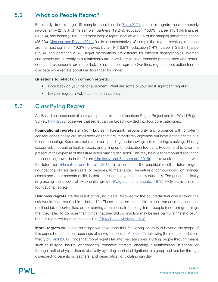### What do People Regret? 5.2

Empirically, from a large US sample assembled in [Pink \(2020\)](https://www.danpink.com/surveyresults/), people's regrets most commonly involve family (21.8% of the sample), partners (19.2%), education (15.6%), career (15.1%), finances (13.5%), and health (6.6%), and most people regret inaction (57.1% of the sample) rather than action (35.9%). [Morrison and Roese \(2011\)](http://www.mikemorrison.ca/Morrison_Roese_Regrets_Typical_American.pdf) find in a representative US sample that regrets involving romance are the most common (19.3%) followed by family (16.9%), education (14%), career (13.8%), finance (9.9%), and parenting (9%). Regret distributions are different for different demographics. Women and people not currently in a relationship are more likely to have romantic regrets; men and bettereducated respondents are more likely to have career regrets. Over time, regrets about action tend to dissipate while regrets about inaction linger for longer.

# Questions to reflect on common regrets:

- Look back on your life for a moment. What are some of your most significant regrets?
- Do your regrets involve actions or inactions?

### Classifying Regret 5.3

An iBased on thousands of survey responses from the American Regret Project and the World Regret Survey, [Pink \(2022\)](https://www.danpink.com/the-power-of-regret/) observes that regret can be broadly divided into four core categories.

**Foundational regrets** stem from failures in foresight, responsibility, and prudence with long-term consequences; these are small decisions that are immediately enjoyable but have lasting effects due to compounding. Some examples are over-spending/ under-saving, not exercising, smoking, drinking excessively, not eating healthy foods, and giving up on education too early. People tend to favor the present at the expense of the future when making decisions. This may be due to temporal discounting – discounting rewards in the future [\(Urminsky and Zauberman, 2016\)](https://papers.ssrn.com/sol3/papers.cfm?abstract_id=2733286) – or a weak connection with the future self [\(Hershfield and Bartels, 2018\).](http://home.uchicago.edu/bartels/papers/Hershfield-Bartels-2018-Chapter.pdf) In either case, the empirical result is future regret. Foundational regrets take years, or decades, to materialize. The nature of compounding, on financial assets and other aspects of life, is that the results hit you seemingly suddenly. The general difficulty in grasping the effects of exponential growth [\(Wagenarr and Sabato, 1975\)](https://psycnet.apa.org/record/1976-21778-001) likely plays a role in foundational regrets.

**Boldness regrets** are the result of playing it safe, followed by the counterfactual where taking the risk would have resulted in a better life. These could be things like missed romantic connections, declined job opportunities, or not starting a business. In the long-term, people tend to regret things that they failed to do more than things that they did do; inaction may be less painful in the short-run, but it is regretted more in the long-run [\(Gilovich and Medvec, 1994\)](https://psycnet.apa.org/record/1995-05382-001).

**Moral regrets** are based on things we have done that felt wrong. Morality is beyond the scope of this paper, but based on thousands of survey responses [Pink \(2022\),](https://www.danpink.com/the-power-of-regret/) following the moral foundations theory of [Haidt \(2012\)](https://righteousmind.com/), finds that moral regrets fall into five categories: Hurting people through means such as bullying, insults, or "ghosting" romantic interests; cheating in relationships, in school, or through theft of physical items; disloyalty by falling short of obligations to a group; subversion through disrespect to parents or teachers; and desecration, or violating sanctity.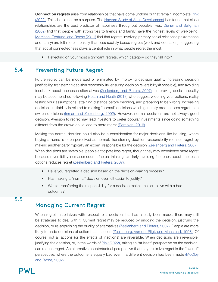**Connection regrets** arise from relationships that have come undone or that remain incomplete [Pink](https://www.danpink.com/the-power-of-regret/) [\(2022\)](https://www.danpink.com/the-power-of-regret/). This should not be a surprise. The [Harvard Study of Adult Development](https://www.adultdevelopmentstudy.org/) has found that close relationships are the best predictor of happiness throughout people's lives. [Diener and Seligman](https://condor.depaul.edu/hstein/NAMGILES.pdf)  [\(2002\)](https://condor.depaul.edu/hstein/NAMGILES.pdf) find that people with strong ties to friends and family have the highest levels of well-being. [Morrison, Epstude, and Roese \(2011\)](http://www.mikemorrison.ca/Morrison_Epstude_Roese_Regrets_Need_to_Belong.pdf) find that regrets involving primary social relationships (romance and family) are felt more intensely than less socially based regrets (work and education), suggesting that social connectedness plays a central role in what people regret the most.

• Reflecting on your most significant regrets, which category do they fall into?

### Preventing Future Regret 5.4

Future regret can be moderated or eliminated by improving decision quality, increasing decision justifiability, transferring decision responsibility, ensuring decision reversibility (if possible), and avoiding feedback about unchosen alternatives [\(Zeelenberg and Pieters, 2007\)](https://www.tilburguniversity.edu/sites/tiu/files/download/zeelenbergpieters_2.pdf). Improving decision quality may be accomplished following [Heath and Heath \(2013\)](https://heathbrothers.com/books/decisive/) who suggest widening your options, reality testing your assumptions, attaining distance before deciding, and preparing to be wrong. Increasing decision justifiability is related to making "normal" decisions which generally produce less regret than switch decisions [\(Inman and Zeelenberg, 2002\).](https://psycnet.apa.org/record/2002-01599-008) However, normal decisions are not always good decision. Aversion to regret may lead investors to prefer popular investments since doing something different from the crowd could lead to more regret [\(Pompian, 2016\)](https://www.cfainstitute.org/-/media/documents/article/rf-brief/rfbr-v2-n1-1-pdf.ashx).

Making the normal decision could also be a consideration for major decisions like housing, where buying a home is often perceived as normal. Transferring decision responsibility reduces regret by making another party, typically an expert, responsible for the decisio[n \(Zeelenberg and Pieters, 2007\)](https://www.tilburguniversity.edu/sites/tiu/files/download/zeelenbergpieters_2.pdf). When decisions are reversible, people anticipate less regret, though they may experience more regret because reversibility increases counterfactual thinking; similarly, avoiding feedback about unchosen options reduces regret [\(Zeelenberg and Pieters, 2007\).](https://www.tilburguniversity.edu/sites/tiu/files/download/zeelenbergpieters_2.pdf)

- Have you regretted a decision based on the decision-making process?
- Has making a "normal" decision ever felt easier to justify?
- Would transferring the responsibility for a decision make it easier to live with a bad outcome?

# 5.5

# Managing Current Regret

When regret materializes with respect to a decision that has already been made, there may still be strategies to deal with it. Current regret may be reduced by undoing the decision, justifying the decision, or re-appraising the quality of alternatives [\(Zeelenberg and Pieters, 2007\).](https://www.tilburguniversity.edu/sites/tiu/files/download/zeelenbergpieters_2.pdf) People are more likely to undo decisions of action than inaction [\(Zeelenberg, van der Pligt, and Manstead, 1998\)](https://psycnet.apa.org/record/1998-12100-008). Of course, not all actions (or the effects of inactions) are reversible. When decisions are irreversible, justifying the decision, or, in the words of [Pink \(2022\),](https://www.danpink.com/the-power-of-regret/) taking an "at least" perspective on the decision, can reduce regret. An alternative counterfactual perspective that may minimize regret is the "even if" perspective, where the outcome is equally bad even if a different decision had been made [\(McCloy](https://psycnet.apa.org/record/2002-02009-003) [and Byrne, 2002\).](https://psycnet.apa.org/record/2002-02009-003)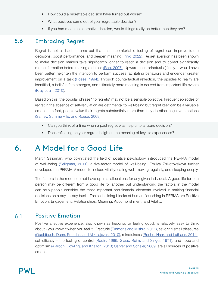- How could a regrettable decision have turned out worse?
- What positives came out of your regrettable decision?
- If you had made an alternative decision, would things really be better than they are?

### Embracing Regret 5.6

Regret is not all bad. It turns out that the uncomfortable feeling of regret can improve future decisions, boost performance, and deepen meaning [\(Pink, 2022\).](https://www.danpink.com/the-power-of-regret/) Regret aversion has been shown to make decision makers take significantly longer to reach a decision and to collect significantly more information before making a choice [\(Reb, 2007\)](https://psycnet.apa.org/record/2008-03010-004). Upward counterfactuals (if only... would have been better) heighten the intention to perform success facilitating behaviors and engender greater improvement on a task [\(Roese, 1994\).](https://psycnet.apa.org/record/1994-36053-001) Through counterfactual reflection, the upsides to reality are identified, a belief in fate emerges, and ultimately more meaning is derived from important life events [\(Kray et al., 2010\)](https://pubmed.ncbi.nlm.nih.gov/20053036/).

Based on this, the popular phrase "no regrets" may not be a sensible objective. Frequent episodes of regret in the absence of self-regulation are detrimental to well-being but regret itself can be a valuable emotion. In fact, people value their regrets substantially more than they do other negative emotions [\(Saffrey, Summerville, and Roese, 2008\)](https://www.ncbi.nlm.nih.gov/pmc/articles/PMC2413060/#:~:text=Study%201%20demonstrated%20that%20regret,stood%20out%20as%20particularly%20beneficial.).

- Can you think of a time when a past regret was helpful to a future decision?
- Does reflecting on your regrets heighten the meaning of key life experiences?

# A Model for a Good Life 6.

Martin Seligman, who co-initiated the field of positive psychology, introduced the PERMA model of well-being [\(Seligman, 2011\),](https://psycnet.apa.org/record/2010-25554-000) a five-factor model of well-being. Emiliya Zhivotovskaya further developed the PERMA-V model to include vitality: eating well, moving regularly, and sleeping deeply.

The factors in the model do not have optimal allocations for any given individual. A good life for one person may be different from a good life for another but understanding the factors in the model can help people consider the most important non-financial elements involved in making financial decisions on a day-to-day basis. The six building blocks of human flourishing in PERMA are Positive Emotion, Engagement, Relationships, Meaning, Accomplishment, and Vitality.

### Positive Emotion 6.1

Positive affective experience, also known as hedonia, or feeling good, is relatively easy to think about - you know it when you feel it. Gratitude [\(Emmons and Mishra, 2011\),](https://psycnet.apa.org/record/2010-25557-016) savoring small pleasures [\(Quoidbach, Dunn, Petrides, and Mikolajczak, 2010\)](https://pubmed.ncbi.nlm.nih.gov/20483819/), mindfulness [\(Roche, Haar, and Luthans, 2014\)](https://digitalcommons.unl.edu/cgi/viewcontent.cgi?article=1132&context=managementfacpub), self-efficacy – the feeling of control [\(Rodin, 1986; Glass, Reim, and Singer, 1971\)](https://psycnet.apa.org/record/1971-24160-001), and hope and optimism [\(Alarcon, Bowling, and Khazon, 2013; Carver and Scheier, 2009\)](https://www.sciencedirect.com/science/article/abs/pii/S0191886912005818?via%3Dihub) are all sources of positive emotion.

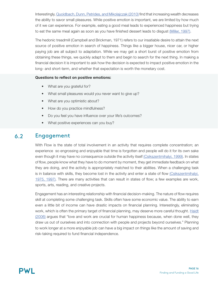Interestingly, [Quoidbach, Dunn, Petrides, and Mikolajczak \(2010\)](https://pubmed.ncbi.nlm.nih.gov/20483819/) find that increasing wealth decreases the ability to savor small pleasures. While positive emotion is important, we are limited by how much of it we can experience. For example, eating a good meal leads to experienced happiness but trying to eat the same meal again as soon as you have finished dessert leads to disgust [\(Miller, 1997\)](https://www.worldcat.org/title/anatomy-of-disgust/oclc/1028044023).

The hedonic treadmill (Campbell and Brickman, 1971) refers to our insatiable desire to attain the next source of positive emotion in search of happiness. Things like a bigger house, nicer car, or higher paying job are all subject to adaptation. While we may get a short burst of positive emotion from obtaining these things, we quickly adapt to them and begin to search for the next thing. In making a financial decision it is important to ask how the decision is expected to impact positive emotion in the long- and short-term, and whether that expectation is worth the monetary cost.

# Questions to reflect on positive emotions:

- What are you grateful for?
- What small pleasures would you never want to give up?
- What are you optimistic about?
- How do you practice mindfulness?
- Do you feel you have influence over your life's outcomes?
- What positive experiences can you buy?

### Engagement 6.2

With Flow is the state of total involvement in an activity that requires complete concentration; an experience so engrossing and enjoyable that time is forgotten and people will do it for its own sake even though it may have no consequence outside the activity itself [\(Csikszentmihalyi, 1999\).](https://psycnet.apa.org/record/1999-11644-003) In states of flow, people know what they have to do moment by moment, they get immediate feedback on what they are doing, and the activity is appropriately matched to their abilities. When a challenging task is in balance with skills, they become lost in the activity and enter a state of flow [\(Csikszentmihalyi,](https://www.worldcat.org/title/beyond-boredom-and-anxiety/oclc/565395946) [1975, 1997\)](https://www.worldcat.org/title/beyond-boredom-and-anxiety/oclc/565395946). There are many activities that can result in states of flow; a few examples are work, sports, arts, reading, and creative projects.

Engagement has an interesting relationship with financial decision-making. The nature of flow requires skill at completing some challenging task. Skills often have some economic value. The ability to earn even a little bit of income can have drastic impacts on financial planning. Interestingly, eliminating work, which is often the primary target of financial planning, may deserve more careful thought. [Haidt](https://www.happinesshypothesis.com/) [\(2006\)](https://www.happinesshypothesis.com/) argues that "love and work are crucial for human happiness because, when done well, they draw us out of ourselves and into connection with people and projects beyond ourselves." Planning to work longer at a more enjoyable job can have a big impact on things like the amount of saving and risk-taking required to fund financial independence.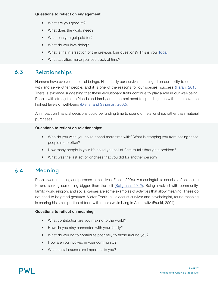# Questions to reflect on engagement:

- What are you good at?
- What does the world need?
- What can you get paid for?
- What do you love doing?
- What is the intersection of the previous four questions? This is your *[Ikigai](https://positivepsychology.com/ikigai/)*.
- What activities make you lose track of time?

### Relationships 6.3

Humans have evolved as social beings. Historically our survival has hinged on our ability to connect with and serve other people, and it is one of the reasons for our species' success [\(Harari, 2015\)](https://www.ynharari.com/book/sapiens-2/). There is evidence suggesting that these evolutionary traits continue to play a role in our well-being. People with strong ties to friends and family and a commitment to spending time with them have the highest levels of well-being [\(Diener and Seligman, 2002\)](https://condor.depaul.edu/hstein/NAMGILES.pdf).

An impact on financial decisions could be funding time to spend on relationships rather than material purchases.

# Questions to reflect on relationships:

- Who do you wish you could spend more time with? What is stopping you from seeing these people more often?
- How many people in your life could you call at 2am to talk through a problem?
- What was the last act of kindness that you did for another person?

### Meaning 6.4

People want meaning and purpose in their lives (Frankl, 2004). A meaningful life consists of belonging to and serving something bigger than the self [\(Seligman, 2012\)](https://psycnet.apa.org/record/2010-25554-000). Being involved with community, family, work, religion, and social causes are some examples of activities that allow meaning. These do not need to be grand gestures. Victor Frankl, a Holocaust survivor and psychologist, found meaning in sharing his small portion of food with others while living in Auschwitz (Frankl, 2004).

# Questions to reflect on meaning:

- What contribution are you making to the world?
- How do you stay connected with your family?
- What do you do to contribute positively to those around you?
- How are you involved in your community?
- What social causes are important to you?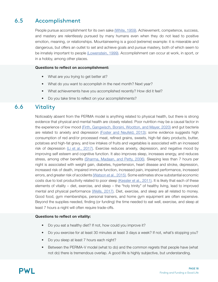### Accomplishment 6.5

People pursue accomplishment for its own sake [\(White, 1959\).](https://psycnet.apa.org/record/1961-04411-001) Achievement, competence, success, and mastery are relentlessly pursued by many humans even when they do not lead to positive emotion, meaning, or relationships. Mountaineering is a good (extreme) example: it is miserable and dangerous, but offers an outlet to set and achieve goals and pursue mastery, both of which seem to be innately important to people [\(Lowenstein, 1999\).](https://www.cmu.edu/dietrich/sds/docs/loewenstein/mountaineering.pdf) Accomplishment can occur at work, in sport, or in a hobby, among other places.

# Questions to reflect on accomplishment:

- What are you trying to get better at?
- What do you want to accomplish in the next month? Next year?
- What achievements have you accomplished recently? How did it feel?
- Do you take time to reflect on your accomplishments?

### **Vitality** 6.6

Noticeably absent from the PERMA model is anything related to physical health, but there is strong evidence that physical and mental health are closely related. Poor nutrition may be a causal factor in the experience of low mood [\(Firth, Gangwisch, Borsini, Wootton, and Mayer, 2020\)](https://www.ncbi.nlm.nih.gov/pmc/articles/PMC7322666/) and gut bacteria are related to anxiety and depression [\(Foster and Neufeld, 2013\);](https://www.researchednutritionals.com/wp-content/uploads/2017/04/gut-brain-axis-how-the-microbiome-influences-anxiety-and-depression.pdf) some evidence suggests high consumption of red and/or processed meat, refined grains, sweets, high-fat dairy products, butter, potatoes and high-fat gravy, and low intakes of fruits and vegetables is associated with an increased risk of depression  $(L$ i et al., 2017). Exercise reduces anxiety, depression, and negative mood by improving self esteem and cognitive function. It also improves sleep, increases energy, and reduces stress, among other benefits [\(Sharma, Madaan, and Petty, 2006\).](https://www.ncbi.nlm.nih.gov/pmc/articles/PMC1470658/#i1523-5998-8-2-106-b2) Sleeping less than 7 hours per night is associated with weight gain, diabetes, hypertension, heart disease and stroke, depression, increased risk of death, impaired immune function, increased pain, impaired performance, increased errors, and greater risk of accidents [\(Watson et al., 2015\)](https://www.ncbi.nlm.nih.gov/pmc/articles/PMC4434546/). Some estimates show substantial economic costs due to lost productivity related to poor sleep [\(Kessler et al., 2011\)](https://pubmed.ncbi.nlm.nih.gov/21886353/). It is likely that each of these elements of vitality – diet, exercise, and sleep – the "holy trinity" of healthy living, lead to improved mental and physical performance *[Wells, 2017]*. Diet, exercise, and sleep are all related to money. Good food, gym memberships, personal trainers, and home gym equipment are often expensive. Beyond the supplies needed, finding (or funding) the time needed to eat well, exercise, and sleep at least 7 hours a night will often require trade-offs.

# Questions to reflect on vitality:

- Do you eat a healthy diet? If not, how could you improve it?
- Do you exercise for at least 30 minutes at least 3 days a week? If not, what's stopping you?
- Do you sleep at least 7 hours each night?
- Between the PERMA-V model (what to do) and the common regrets that people have (what not do) there is tremendous overlap. A good life is highly subjective, but understanding.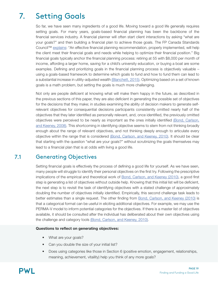# Setting Goals 7.

So far, we have seen many ingredients of a good life. Moving toward a good life generally requires setting goals. For many years, goals-based financial planning has been the backbone of the financial services industry. A financial planner will often start client interactions by asking "what are your goals?" and then building a financial plan to achieve those goals. The FP Canada Standards Council™ [explains](https://www.fpcanada.ca/docs/default-source/standards-and-enforcement/guidance-to-the-profession---financial-planning-process.pdf): "An effective financial planning recommendation, properly implemented, will help the client meet their financial goals and needs while helping to optimize their financial position." Big financial goals typically anchor the financial planning process: retiring at 55 with \$8,000 per month of income, affording a larger home, saving for a child's university education, or buying a boat are some examples. Defining and prioritizing goals in the financial planning process is objectively valuable – using a goals-based framework to determine which goals to fund and how to fund them can lead to a substantial increase in utility-adjusted wealth [\(Blanchett, 2015\).](https://www.financialplanningassociation.org/article/journal/JUN15-value-goals-based-financial-planning) Optimizing based on a set of known goals is a math problem, but setting the goals is much more challenging.

Not only are people deficient at knowing what will make them happy in the future, as described in the previous sections of this paper, they are also deficient in generating the possible set of objectives for the decisions that they make; in studies examining the ability of decision makers to generate selfrelevant objectives for consequential decisions participants consistently omitted nearly half of the objectives that they later identified as personally relevant, and, once identified, the previously omitted objectives were perceived to be nearly as important as the ones initially identified [\(Bond, Carlson,](https://pubsonline.informs.org/doi/abs/10.1287/mnsc.1070.0754?journalCode=mnsc)  [and Keeney, 2008\)](https://pubsonline.informs.org/doi/abs/10.1287/mnsc.1070.0754?journalCode=mnsc). This shortcoming in identifying objective seems to stem from not thinking broadly enough about the range of relevant objectives, and not thinking deeply enough to articulate every objective within the range that is considered [\(Bond, Carlson, and Keeney, 2010\).](https://www.scheller.gatech.edu/directory/faculty/bond/pubs/Bond Carlson Keeney DA 2010.pdf) It should be clear that starting with the question "what are your goals?" without scrutinizing the goals themselves may lead to a financial plan that is at odds with living a good life.

### Generating Objectives 7.1

Setting financial goals is effectively the process of defining a good life for yourself. As we have seen, many people will struggle to identify their personal objectives on the first try. Following the prescriptive implications of the empirical and theoretical work of [Bond, Carlson, and Keeney \(2010\)](https://www.scheller.gatech.edu/directory/faculty/bond/pubs/Bond Carlson Keeney DA 2010.pdf), a good first step is generating a list of objectives without outside help. Knowing that this initial list will be deficient, the next step is to revisit the task of identifying objectives with a stated challenge of approximately doubling the number of objectives initially identified. Empirically, this second challenge task leads to better estimates than a single request. The other finding from [Bond, Carlson, and Keeney \(2010\)](https://www.scheller.gatech.edu/directory/faculty/bond/pubs/Bond Carlson Keeney DA 2010.pdf) is that a categorical format can be useful in eliciting additional objectives. For example, we may use the PERMA-V model to inform potential categories for the objectives. If there is a master list of objectives available, it should be consulted after the individual has deliberated about their own objectives using the challenge and category tools [\(Bond, Carlson, and Keeney, 2010\)](https://www.scheller.gatech.edu/directory/faculty/bond/pubs/Bond Carlson Keeney DA 2010.pdf).

# Questions to reflect on generating objectives:

- What are your goals?
- Can you double the size of your initial list?
- Does using categories like those in Section 6 (positive emotion, engagement, relationships, meaning, achievement, vitaility) help you think of any more goals?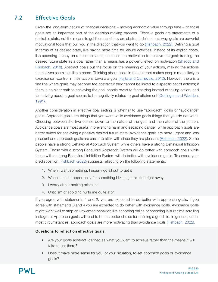### Effective Goals 7.2

Given the long-term nature of financial decisions – moving economic value through time – financial goals are an important part of the decision-making process. Effective goals are statements of a desirable state, not the means to get there, and they are abstract; defined this way, goals are powerful motivational tools that pull you in the direction that you want to go [\(Fishbach, 2022\)](https://www.hachettebookgroup.com/titles/ayelet-fishbach/get-it-done/9780316538350/). Defining a goal in terms of its desired state, like having more time for leisure activities, instead of its explicit costs, like spending money on a house cleaner, increases the motivation to achieve the goal; framing the desired future state as a goal rather than a means has a powerful effect on motivation [\(Shaddy and](https://www.anderson.ucla.edu/documents/areas/fac/marketing/Shaddy/investing_goals.pdf) [Fishbach, 2018\)](https://www.anderson.ucla.edu/documents/areas/fac/marketing/Shaddy/investing_goals.pdf). Abstract goals put the focus on the meaning of your actions, making the actions themselves seem less like a chore. Thinking about goals in the abstract makes people more likely to exercise self-control in their actions toward a goal [\(Fujita and Carnevale, 2012\)](https://citeseerx.ist.psu.edu/viewdoc/download?doi=10.1.1.723.4168&rep=rep1&type=pdf). However, there is a fine line where goals may become too abstract if they cannot be linked to a specific set of actions; if there is no clear path to achieving the goal people revert to fantasizing instead of taking action, and fantasizing about a goal seems to be negatively related to goal attainment [\(Oettingen and Wadden,](https://www.psy.uni-hamburg.de/de/arbeitsbereiche/paedagogische-psychologie-und-motivation/personen/oettingen-gabriele/dokumente/oettingen-1991.pdf) [1991\).](https://www.psy.uni-hamburg.de/de/arbeitsbereiche/paedagogische-psychologie-und-motivation/personen/oettingen-gabriele/dokumente/oettingen-1991.pdf)

Another consideration in effective goal setting is whether to use "approach" goals or "avoidance" goals. Approach goals are things that you want while avoidance goals things that you do not want. Choosing between the two comes down to the nature of the goal and the nature of the person. Avoidance goals are most useful in preventing harm and escaping danger, while approach goals are better suited for achieving a positive desired future state; avoidance goals are more urgent and less pleasant and approach goals are easier to stick with since they are pleasant [\(Fishbach, 2022\).](https://www.hachettebookgroup.com/titles/ayelet-fishbach/get-it-done/9780316538350/) Some people have a strong Behavioral Approach System while others have a strong Behavioral Inhibition System. Those with a strong Behavioral Approach System will do better with approach goals while those with a strong Behavioral Inhibition System will do better with avoidance goals. To assess your predisposition, [Fishbach \(2022\)](https://www.hachettebookgroup.com/titles/ayelet-fishbach/get-it-done/9780316538350/) suggests reflecting on the following statements:

- 1. When I want something, I usually go all out to get it
- 2. When I see an opportunity for something I like, I get excited right away
- 3. I worry about making mistakes
- 4. Criticism or scolding hurts me quite a bit

If you agree with statements 1 and 2, you are expected to do better with approach goals. If you agree with statements 3 and 4 you are expected to do better with avoidance goals. Avoidance goals might work well to stop an unwanted behavior, like shopping online or spending leisure time scrolling Instagram. Approach goals will tend to be the better choice for defining a good life. In general, under most circumstances, approach goals are more motivating than avoidance goals [\(Fishbach, 2022\)](https://www.hachettebookgroup.com/titles/ayelet-fishbach/get-it-done/9780316538350/).

# Questions to reflect on effective goals:

- Are your goals abstract, defined as what you want to achieve rather than the means it will take to get there?
- Does it make more sense for you, or your situation, to set approach goals or avoidance goals?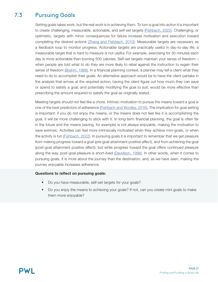### Pursuing Goals 7.3

Setting goals takes work, but the real work is in achieving them. To turn a goal into action it is important to create challenging, measurable, actionable, and self-set targets [\(Fishbach, 2022\).](https://www.hachettebookgroup.com/titles/ayelet-fishbach/get-it-done/9780316538350/) Challenging, or optimistic, targets with minor consequences for failure increase motivation and execution toward completing the desired actions [\(Zhang and Fishbach, 2010\).](https://pubmed.ncbi.nlm.nih.gov/20121310/) Measurable targets are necessary as a feedback loop to monitor progress. Actionable targets are practically useful in day-to-day life; a measurable target that is hard to measure is not useful. For example, exercising for 30 minutes each day is more actionable than burning 500 calories. Self-set targets maintain your sense of freedom – when people are told what to do they are more likely to rebel against the instruction to regain their sense of freedom [\(Brehm, 1966\)](https://psycnet.apa.org/record/1967-08061-000). In a financial planning context, a planner may tell a client what they need to do to accomplish their goals. An alternative approach would be to have the client partake in the analysis that arrives at the required action; having the client figure out how much they can save or spend to satisfy a goal, and potentially modifying the goal to suit, would be more effective than prescribing the amount required to satisfy the goal as originally stated.

Meeting targets should not feel like a chore. Intrinsic motivation to pursue the means toward a goal is one of the best predictors of adherence [\(Fishbach and Woolley, 2016\).](https://journals.sagepub.com/doi/abs/10.1177/0146167216676480) The implication for goal setting is important: if you do not enjoy the means, or the means does not feel like it is accomplishing the goal, it will be more challenging to stick with it. In long-term financial planning, the goal is often far in the future and the means (saving, for example) is not always enjoyable, making the motivation to save extrinsic. Activities can feel more intrinsically motivated when they achieve mini-goals, or when the activity is fun [\(Fishbach, 2022\)](https://www.hachettebookgroup.com/titles/ayelet-fishbach/get-it-done/9780316538350/). In pursuing goals it is important to remember that we get pleasure from making progress toward a goal (pre-goal attainment positive affect), and from achieving the goal (post-goal attainment positive affect), but while progress toward the goal offers continued pleasure along the way, post-goal pleasure is short-lived [\(Davidson, 1998\)](http://citeseerx.ist.psu.edu/viewdoc/download?doi=10.1.1.670.1877&rep=rep1&type=pdf). In other words, when it comes to pursuing goals, it is more about the journey than the destination, and, as we have seen, making the journey enjoyable increases adherence.

# Questions to reflect on pursuing goals:

- Do you have measurable, self-set targets for your goals?
- Do you enjoy the means to achieving your goals? If not, can you create mini goals to make them more enjoyable?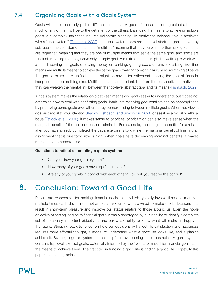### Organizing Goals with a Goals System 7.4

Goals will almost certainly pull in different directions. A good life has a lot of ingredients, but too much of any of them will be to the detriment of the others. Balancing the means to achieving multiple goals is a complex task that requires deliberate planning. In motivation science, this is achieved with a "goal system" [\(Fishbach, 2022\)](https://www.hachettebookgroup.com/titles/ayelet-fishbach/get-it-done/9780316538350/). In a goal system there are top level abstract goals served by sub-goals (means). Some means are "multifinal" meaning that they serve more than one goal, some are "equifinal" meaning that they are one of multiple means that serve the same goal, and some are "unifinal" meaning that they serve only a single goal. A multifinal means might be walking to work with a friend, serving the goals of saving money on parking, getting exercise, and socializing. Equifinal means are multiple means to achieve the same goal – walking to work, hiking, and swimming all serve the goal to exercise. A unifinal means might be saving for retirement, serving the goal of financial independence but nothing else. Multifinal means are efficient, but from the perspective of motivation they can weaken the mental link between the top-level abstract goal and its means [\(Fishbach, 2022\)](https://www.hachettebookgroup.com/titles/ayelet-fishbach/get-it-done/9780316538350/).

A goals system makes the relationship between means and goals easier to understand, but it does not determine how to deal with conflicting goals. Intuitively, resolving goal conflicts can be accomplished by prioritizing some goals over others or by compromising between multiple goals. When you view a goal as central to your identity [\(Shaddy, Fishbach, and Simonson, 2021\)](https://franklinshaddy.com/assets/tradeoffs.pdf) or see it as a moral or ethical issue [\(Tetlock et al., 2000\)](https://citeseerx.ist.psu.edu/viewdoc/download?doi=10.1.1.126.6275&rep=rep1&type=pdf), it makes sense to prioritize; prioritization can also make sense when the marginal benefit of the action does not diminish. For example, the marginal benefit of exercising after you have already completed the day's exercise is low, while the marginal benefit of finishing an assignment that is due tomorrow is high. When goals have decreasing marginal benefits, it makes more sense to compromise.

# Questions to reflect on creating a goals system:

- Can you draw your goals system?
- How many of your goals have equifinal means?
- Are any of your goals in conflict with each other? How will you resolve the conflict?

# Conclusion: Toward a Good Life 8.

People are responsible for making financial decisions – which typically involve time and money – multiple times each day. This is not an easy task since we are wired to make quick decisions that result in short-term pleasure and improve our status relative to those around us. Even the noble objective of setting long-term financial goals is easily sabotaged by our inability to identify a complete set of personally important objectives, and our weak ability to know what will make us happy in the future. Stepping back to reflect on how our decisions will affect life satisfaction and happiness requires more effortful thought, a model to understand what a good life looks like, and a plan to achieve it. Building a goals system can be helpful in overcoming these obstacles. A goals system contains top level abstract goals, potentially informed by the five-factor model for financial goals, and the means to achieve them. The first step in funding a good life is finding a good life. Hopefully this paper is a starting point.

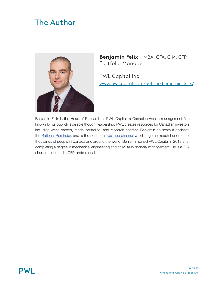# The Author



**Benjamin Felix** MBA, CFA, CIM, CFP Portfolio Manager

PWL Capital Inc. www.pwlcapital.com/author/benjamin-felix/

Benjamin Felix is the Head of Research at PWL Capital, a Canadian wealth management firm known for its publicly available thought leadership. PWL creates resources for Canadian investors including white papers, model portfolios, and research content. Benjamin co-hosts a podcast, the [Rational Reminder,](https://rationalreminder.ca/) and is the host of a [YouTube channel](https://www.youtube.com/c/BenFelixCSI/featured) which together reach hundreds of thousands of people in Canada and around the world. Benjamin joined PWL Capital in 2013 after completing a degree in mechanical engineering and an MBA in financial management. He is a CFA charterholder and a CFP professional.